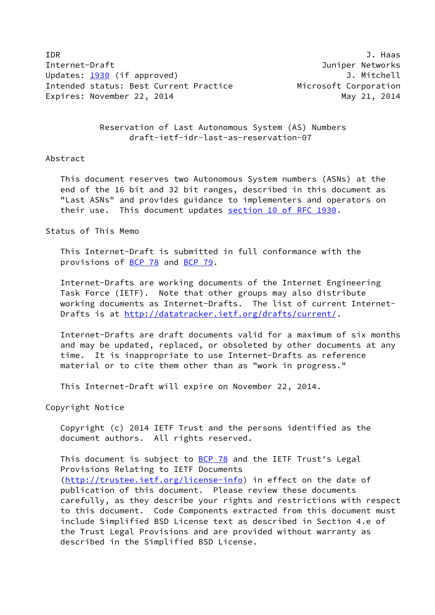IDR J. Haas Internet-Draft Juniper Networks Updates: [1930](https://datatracker.ietf.org/doc/pdf/rfc1930) (if approved) and the controll of the Updates: 1930 (if approved) Intended status: Best Current Practice Microsoft Corporation Expires: November 22, 2014 and the manufacturer of the May 21, 2014

 Reservation of Last Autonomous System (AS) Numbers draft-ietf-idr-last-as-reservation-07

# Abstract

 This document reserves two Autonomous System numbers (ASNs) at the end of the 16 bit and 32 bit ranges, described in this document as "Last ASNs" and provides guidance to implementers and operators on their use. This document updates section [10 of RFC 1930](https://datatracker.ietf.org/doc/pdf/rfc1930#section-10).

## Status of This Memo

 This Internet-Draft is submitted in full conformance with the provisions of [BCP 78](https://datatracker.ietf.org/doc/pdf/bcp78) and [BCP 79](https://datatracker.ietf.org/doc/pdf/bcp79).

 Internet-Drafts are working documents of the Internet Engineering Task Force (IETF). Note that other groups may also distribute working documents as Internet-Drafts. The list of current Internet- Drafts is at<http://datatracker.ietf.org/drafts/current/>.

 Internet-Drafts are draft documents valid for a maximum of six months and may be updated, replaced, or obsoleted by other documents at any time. It is inappropriate to use Internet-Drafts as reference material or to cite them other than as "work in progress."

This Internet-Draft will expire on November 22, 2014.

Copyright Notice

 Copyright (c) 2014 IETF Trust and the persons identified as the document authors. All rights reserved.

This document is subject to **[BCP 78](https://datatracker.ietf.org/doc/pdf/bcp78)** and the IETF Trust's Legal Provisions Relating to IETF Documents [\(http://trustee.ietf.org/license-info](http://trustee.ietf.org/license-info)) in effect on the date of publication of this document. Please review these documents carefully, as they describe your rights and restrictions with respect to this document. Code Components extracted from this document must include Simplified BSD License text as described in Section 4.e of the Trust Legal Provisions and are provided without warranty as described in the Simplified BSD License.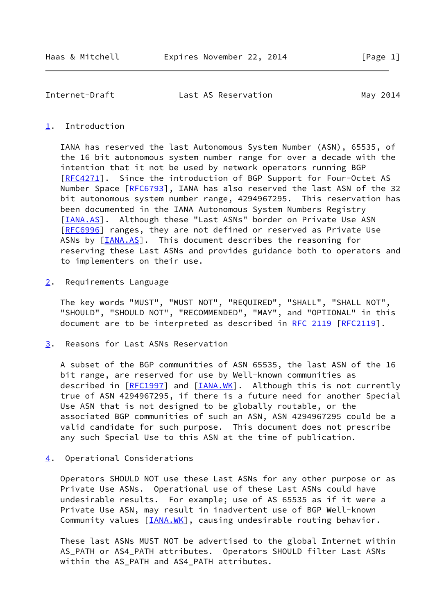Internet-Draft Last AS Reservation May 2014

### <span id="page-1-0"></span>[1](#page-1-0). Introduction

 IANA has reserved the last Autonomous System Number (ASN), 65535, of the 16 bit autonomous system number range for over a decade with the intention that it not be used by network operators running BGP [\[RFC4271](https://datatracker.ietf.org/doc/pdf/rfc4271)]. Since the introduction of BGP Support for Four-Octet AS Number Space [\[RFC6793](https://datatracker.ietf.org/doc/pdf/rfc6793)], IANA has also reserved the last ASN of the 32 bit autonomous system number range, 4294967295. This reservation has been documented in the IANA Autonomous System Numbers Registry [\[IANA.AS](#page-3-0)]. Although these "Last ASNs" border on Private Use ASN [\[RFC6996](https://datatracker.ietf.org/doc/pdf/rfc6996)] ranges, they are not defined or reserved as Private Use ASNs by [\[IANA.AS](#page-3-0)]. This document describes the reasoning for reserving these Last ASNs and provides guidance both to operators and to implementers on their use.

<span id="page-1-1"></span>[2](#page-1-1). Requirements Language

 The key words "MUST", "MUST NOT", "REQUIRED", "SHALL", "SHALL NOT", "SHOULD", "SHOULD NOT", "RECOMMENDED", "MAY", and "OPTIONAL" in this document are to be interpreted as described in [RFC 2119 \[RFC2119](https://datatracker.ietf.org/doc/pdf/rfc2119)].

<span id="page-1-2"></span>[3](#page-1-2). Reasons for Last ASNs Reservation

 A subset of the BGP communities of ASN 65535, the last ASN of the 16 bit range, are reserved for use by Well-known communities as described in [\[RFC1997](https://datatracker.ietf.org/doc/pdf/rfc1997)] and [[IANA.WK\]](#page-3-1). Although this is not currently true of ASN 4294967295, if there is a future need for another Special Use ASN that is not designed to be globally routable, or the associated BGP communities of such an ASN, ASN 4294967295 could be a valid candidate for such purpose. This document does not prescribe any such Special Use to this ASN at the time of publication.

<span id="page-1-3"></span>[4](#page-1-3). Operational Considerations

 Operators SHOULD NOT use these Last ASNs for any other purpose or as Private Use ASNs. Operational use of these Last ASNs could have undesirable results. For example; use of AS 65535 as if it were a Private Use ASN, may result in inadvertent use of BGP Well-known Community values [\[IANA.WK](#page-3-1)], causing undesirable routing behavior.

 These last ASNs MUST NOT be advertised to the global Internet within AS\_PATH or AS4\_PATH attributes. Operators SHOULD filter Last ASNs within the AS\_PATH and AS4\_PATH attributes.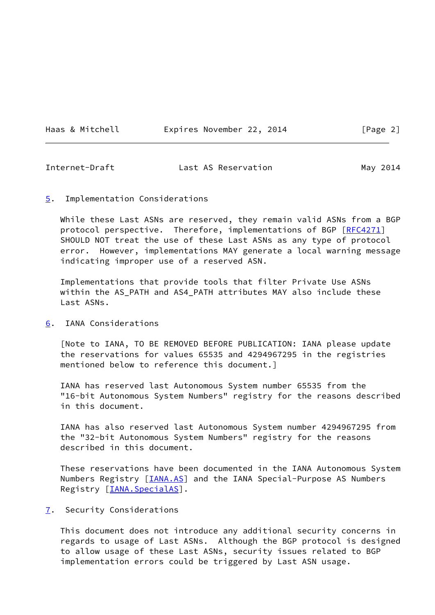Haas & Mitchell **Expires November 22, 2014** [Page 2]

Internet-Draft Last AS Reservation May 2014

### <span id="page-2-0"></span>[5](#page-2-0). Implementation Considerations

 While these Last ASNs are reserved, they remain valid ASNs from a BGP protocol perspective. Therefore, implementations of BGP [\[RFC4271](https://datatracker.ietf.org/doc/pdf/rfc4271)] SHOULD NOT treat the use of these Last ASNs as any type of protocol error. However, implementations MAY generate a local warning message indicating improper use of a reserved ASN.

 Implementations that provide tools that filter Private Use ASNs within the AS\_PATH and AS4\_PATH attributes MAY also include these Last ASNs.

<span id="page-2-1"></span>[6](#page-2-1). IANA Considerations

 [Note to IANA, TO BE REMOVED BEFORE PUBLICATION: IANA please update the reservations for values 65535 and 4294967295 in the registries mentioned below to reference this document.]

 IANA has reserved last Autonomous System number 65535 from the "16-bit Autonomous System Numbers" registry for the reasons described in this document.

 IANA has also reserved last Autonomous System number 4294967295 from the "32-bit Autonomous System Numbers" registry for the reasons described in this document.

 These reservations have been documented in the IANA Autonomous System Numbers Registry [\[IANA.AS](#page-3-0)] and the IANA Special-Purpose AS Numbers Registry [\[IANA.SpecialAS](#page-3-2)].

<span id="page-2-2"></span>[7](#page-2-2). Security Considerations

 This document does not introduce any additional security concerns in regards to usage of Last ASNs. Although the BGP protocol is designed to allow usage of these Last ASNs, security issues related to BGP implementation errors could be triggered by Last ASN usage.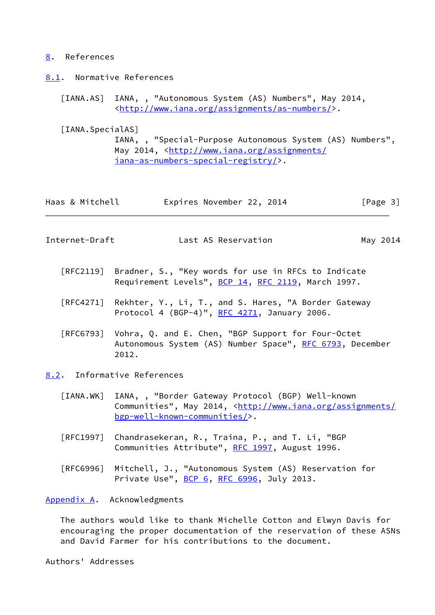### <span id="page-3-3"></span>[8](#page-3-3). References

<span id="page-3-4"></span>[8.1](#page-3-4). Normative References

<span id="page-3-0"></span> [IANA.AS] IANA, , "Autonomous System (AS) Numbers", May 2014, <[http://www.iana.org/assignments/as-numbers/>](http://www.iana.org/assignments/as-numbers/).

<span id="page-3-2"></span>[IANA.SpecialAS]

 IANA, , "Special-Purpose Autonomous System (AS) Numbers", May 2014, [<http://www.iana.org/assignments/](http://www.iana.org/assignments/iana-as-numbers-special-registry/) [iana-as-numbers-special-registry/>](http://www.iana.org/assignments/iana-as-numbers-special-registry/).

| Haas & Mitchell | Expires November 22, 2014 |  | [Page 3] |  |
|-----------------|---------------------------|--|----------|--|
|                 |                           |  |          |  |

Internet-Draft Last AS Reservation May 2014

- [RFC2119] Bradner, S., "Key words for use in RFCs to Indicate Requirement Levels", [BCP 14](https://datatracker.ietf.org/doc/pdf/bcp14), [RFC 2119](https://datatracker.ietf.org/doc/pdf/rfc2119), March 1997.
- [RFC4271] Rekhter, Y., Li, T., and S. Hares, "A Border Gateway Protocol 4 (BGP-4)", [RFC 4271](https://datatracker.ietf.org/doc/pdf/rfc4271), January 2006.
- [RFC6793] Vohra, Q. and E. Chen, "BGP Support for Four-Octet Autonomous System (AS) Number Space", [RFC 6793](https://datatracker.ietf.org/doc/pdf/rfc6793), December 2012.
- <span id="page-3-5"></span><span id="page-3-1"></span>[8.2](#page-3-5). Informative References
	- [IANA.WK] IANA, , "Border Gateway Protocol (BGP) Well-known Communities", May 2014, <[http://www.iana.org/assignments/](http://www.iana.org/assignments/bgp-well-known-communities/) [bgp-well-known-communities/](http://www.iana.org/assignments/bgp-well-known-communities/)>.
	- [RFC1997] Chandrasekeran, R., Traina, P., and T. Li, "BGP Communities Attribute", [RFC 1997,](https://datatracker.ietf.org/doc/pdf/rfc1997) August 1996.
	- [RFC6996] Mitchell, J., "Autonomous System (AS) Reservation for Private Use", [BCP 6](https://datatracker.ietf.org/doc/pdf/bcp6), [RFC 6996](https://datatracker.ietf.org/doc/pdf/rfc6996), July 2013.

<span id="page-3-6"></span>[Appendix A.](#page-3-6) Acknowledgments

 The authors would like to thank Michelle Cotton and Elwyn Davis for encouraging the proper documentation of the reservation of these ASNs and David Farmer for his contributions to the document.

Authors' Addresses